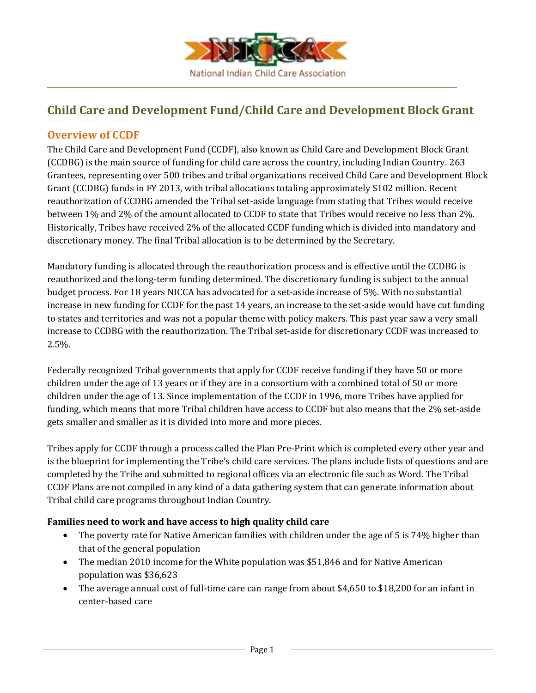

# **Child Care and Development Fund/Child Care and Development Block Grant**

# **Overview of CCDF**

The Child Care and Development Fund (CCDF), also known as Child Care and Development Block Grant (CCDBG) is the main source of funding for child care across the country, including Indian Country. 263 Grantees, representing over 500 tribes and tribal organizations received Child Care and Development Block Grant (CCDBG) funds in FY 2013, with tribal allocations totaling approximately \$102 million. Recent reauthorization of CCDBG amended the Tribal set-aside language from stating that Tribes would receive between 1% and 2% of the amount allocated to CCDF to state that Tribes would receive no less than 2%. Historically, Tribes have received 2% of the allocated CCDF funding which is divided into mandatory and discretionary money. The final Tribal allocation is to be determined by the Secretary.

Mandatory funding is allocated through the reauthorization process and is effective until the CCDBG is reauthorized and the long-term funding determined. The discretionary funding is subject to the annual budget process. For 18 years NICCA has advocated for a set-aside increase of 5%. With no substantial increase in new funding for CCDF for the past 14 years, an increase to the set-aside would have cut funding to states and territories and was not a popular theme with policy makers. This past year saw a very small increase to CCDBG with the reauthorization. The Tribal set-aside for discretionary CCDF was increased to 2.5%.

Federally recognized Tribal governments that apply for CCDF receive funding if they have 50 or more children under the age of 13 years or if they are in a consortium with a combined total of 50 or more children under the age of 13. Since implementation of the CCDF in 1996, more Tribes have applied for funding, which means that more Tribal children have access to CCDF but also means that the 2% set-aside gets smaller and smaller as it is divided into more and more pieces.

Tribes apply for CCDF through a process called the Plan Pre-Print which is completed every other year and is the blueprint for implementing the Tribe's child care services. The plans include lists of questions and are completed by the Tribe and submitted to regional offices via an electronic file such as Word. The Tribal CCDF Plans are not compiled in any kind of a data gathering system that can generate information about Tribal child care programs throughout Indian Country.

### **Families need to work and have access to high quality child care**

- The poverty rate for Native American families with children under the age of 5 is 74% higher than that of the general population
- The median 2010 income for the White population was \$51,846 and for Native American population was \$36,623
- The average annual cost of full-time care can range from about \$4,650 to \$18,200 for an infant in center‐based care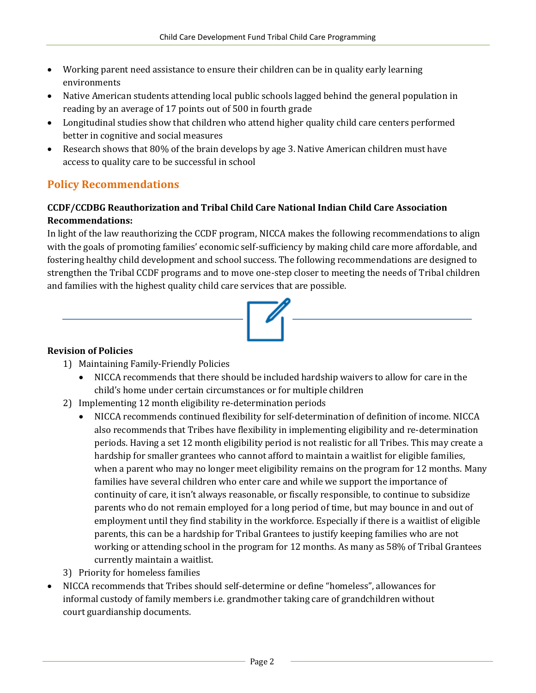- Working parent need assistance to ensure their children can be in quality early learning environments
- Native American students attending local public schools lagged behind the general population in reading by an average of 17 points out of 500 in fourth grade
- Longitudinal studies show that children who attend higher quality child care centers performed better in cognitive and social measures
- Research shows that 80% of the brain develops by age 3. Native American children must have access to quality care to be successful in school

# **Policy Recommendations**

## **CCDF/CCDBG Reauthorization and Tribal Child Care National Indian Child Care Association Recommendations:**

In light of the law reauthorizing the CCDF program, NICCA makes the following recommendations to align with the goals of promoting families' economic self-sufficiency by making child care more affordable, and fostering healthy child development and school success. The following recommendations are designed to strengthen the Tribal CCDF programs and to move one-step closer to meeting the needs of Tribal children and families with the highest quality child care services that are possible.

### **Revision of Policies**

- 1) Maintaining Family-Friendly Policies
	- NICCA recommends that there should be included hardship waivers to allow for care in the child's home under certain circumstances or for multiple children
- 2) Implementing 12 month eligibility re-determination periods
	- NICCA recommends continued flexibility for self-determination of definition of income. NICCA also recommends that Tribes have flexibility in implementing eligibility and re-determination periods. Having a set 12 month eligibility period is not realistic for all Tribes. This may create a hardship for smaller grantees who cannot afford to maintain a waitlist for eligible families, when a parent who may no longer meet eligibility remains on the program for 12 months. Many families have several children who enter care and while we support the importance of continuity of care, it isn't always reasonable, or fiscally responsible, to continue to subsidize parents who do not remain employed for a long period of time, but may bounce in and out of employment until they find stability in the workforce. Especially if there is a waitlist of eligible parents, this can be a hardship for Tribal Grantees to justify keeping families who are not working or attending school in the program for 12 months. As many as 58% of Tribal Grantees currently maintain a waitlist.
- 3) Priority for homeless families
- NICCA recommends that Tribes should self-determine or define "homeless", allowances for informal custody of family members i.e. grandmother taking care of grandchildren without court guardianship documents.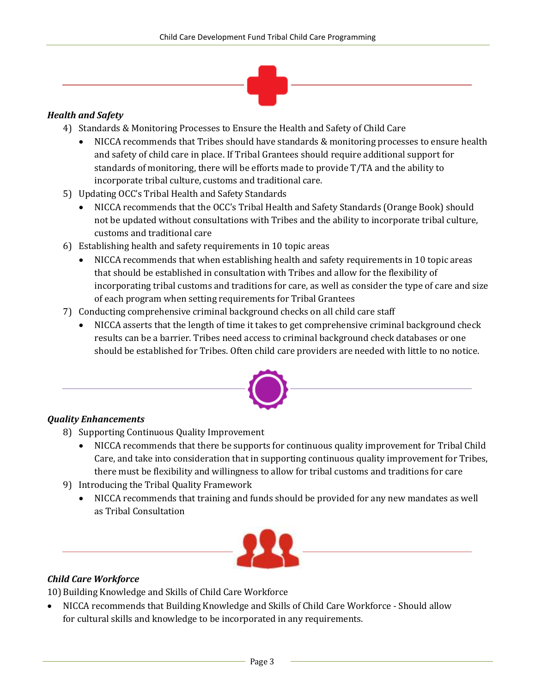

#### *Health and Safety*

- 4) Standards & Monitoring Processes to Ensure the Health and Safety of Child Care
	- NICCA recommends that Tribes should have standards & monitoring processes to ensure health and safety of child care in place. If Tribal Grantees should require additional support for standards of monitoring, there will be efforts made to provide T/TA and the ability to incorporate tribal culture, customs and traditional care.
- 5) Updating OCC's Tribal Health and Safety Standards
	- NICCA recommends that the OCC's Tribal Health and Safety Standards (Orange Book) should not be updated without consultations with Tribes and the ability to incorporate tribal culture, customs and traditional care
- 6) Establishing health and safety requirements in 10 topic areas
	- NICCA recommends that when establishing health and safety requirements in 10 topic areas that should be established in consultation with Tribes and allow for the flexibility of incorporating tribal customs and traditions for care, as well as consider the type of care and size of each program when setting requirements for Tribal Grantees
- 7) Conducting comprehensive criminal background checks on all child care staff
	- NICCA asserts that the length of time it takes to get comprehensive criminal background check results can be a barrier. Tribes need access to criminal background check databases or one should be established for Tribes. Often child care providers are needed with little to no notice.



### *Quality Enhancements*

- 8) Supporting Continuous Quality Improvement
	- NICCA recommends that there be supports for continuous quality improvement for Tribal Child Care, and take into consideration that in supporting continuous quality improvement for Tribes, there must be flexibility and willingness to allow for tribal customs and traditions for care
- 9) Introducing the Tribal Quality Framework
	- NICCA recommends that training and funds should be provided for any new mandates as well as Tribal Consultation



#### *Child Care Workforce*

10) Building Knowledge and Skills of Child Care Workforce

 NICCA recommends that Building Knowledge and Skills of Child Care Workforce - Should allow for cultural skills and knowledge to be incorporated in any requirements.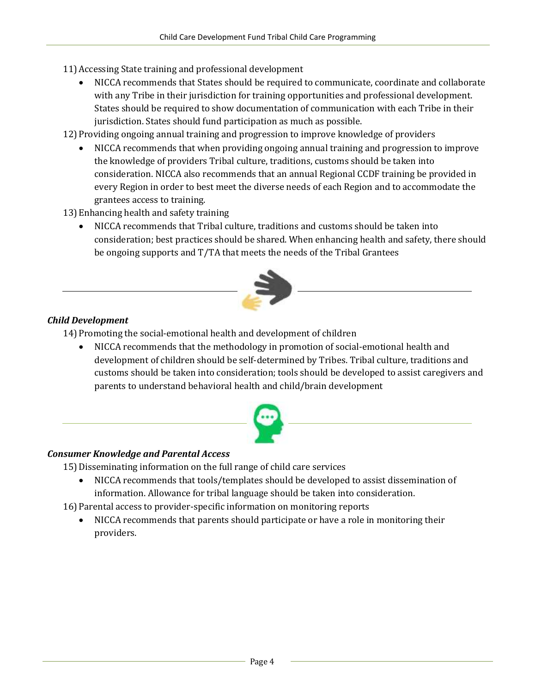- 11)Accessing State training and professional development
	- NICCA recommends that States should be required to communicate, coordinate and collaborate with any Tribe in their jurisdiction for training opportunities and professional development. States should be required to show documentation of communication with each Tribe in their jurisdiction. States should fund participation as much as possible.
- 12) Providing ongoing annual training and progression to improve knowledge of providers
	- NICCA recommends that when providing ongoing annual training and progression to improve the knowledge of providers Tribal culture, traditions, customs should be taken into consideration. NICCA also recommends that an annual Regional CCDF training be provided in every Region in order to best meet the diverse needs of each Region and to accommodate the grantees access to training.
- 13)Enhancing health and safety training
	- NICCA recommends that Tribal culture, traditions and customs should be taken into consideration; best practices should be shared. When enhancing health and safety, there should be ongoing supports and T/TA that meets the needs of the Tribal Grantees



### *Child Development*

14)Promoting the social-emotional health and development of children

 NICCA recommends that the methodology in promotion of social-emotional health and development of children should be self-determined by Tribes. Tribal culture, traditions and customs should be taken into consideration; tools should be developed to assist caregivers and parents to understand behavioral health and child/brain development



#### *Consumer Knowledge and Parental Access*

15)Disseminating information on the full range of child care services

- NICCA recommends that tools/templates should be developed to assist dissemination of information. Allowance for tribal language should be taken into consideration.
- 16)Parental access to provider-specific information on monitoring reports
	- NICCA recommends that parents should participate or have a role in monitoring their providers.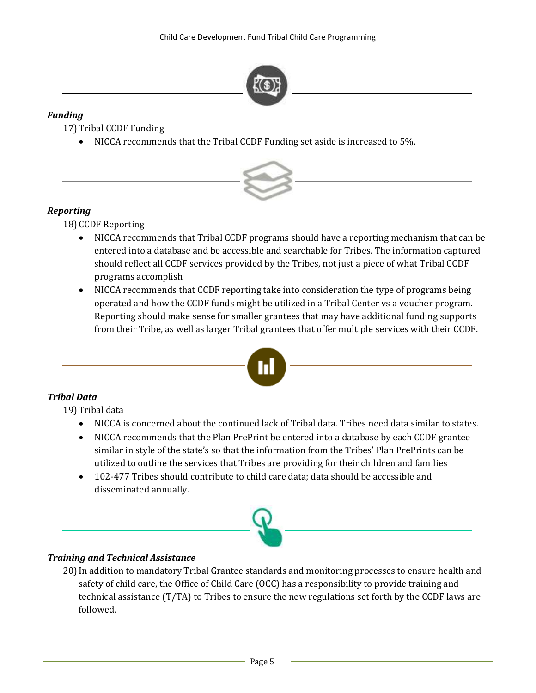

#### *Funding*

17)Tribal CCDF Funding

NICCA recommends that the Tribal CCDF Funding set aside is increased to 5%.



### *Reporting*

18)CCDF Reporting

- NICCA recommends that Tribal CCDF programs should have a reporting mechanism that can be entered into a database and be accessible and searchable for Tribes. The information captured should reflect all CCDF services provided by the Tribes, not just a piece of what Tribal CCDF programs accomplish
- NICCA recommends that CCDF reporting take into consideration the type of programs being operated and how the CCDF funds might be utilized in a Tribal Center vs a voucher program. Reporting should make sense for smaller grantees that may have additional funding supports from their Tribe, as well as larger Tribal grantees that offer multiple services with their CCDF.



# *Tribal Data*

19)Tribal data

- NICCA is concerned about the continued lack of Tribal data. Tribes need data similar to states.
- NICCA recommends that the Plan PrePrint be entered into a database by each CCDF grantee similar in style of the state's so that the information from the Tribes' Plan PrePrints can be utilized to outline the services that Tribes are providing for their children and families
- 102-477 Tribes should contribute to child care data; data should be accessible and disseminated annually.



### *Training and Technical Assistance*

20)In addition to mandatory Tribal Grantee standards and monitoring processes to ensure health and safety of child care, the Office of Child Care (OCC) has a responsibility to provide training and technical assistance (T/TA) to Tribes to ensure the new regulations set forth by the CCDF laws are followed.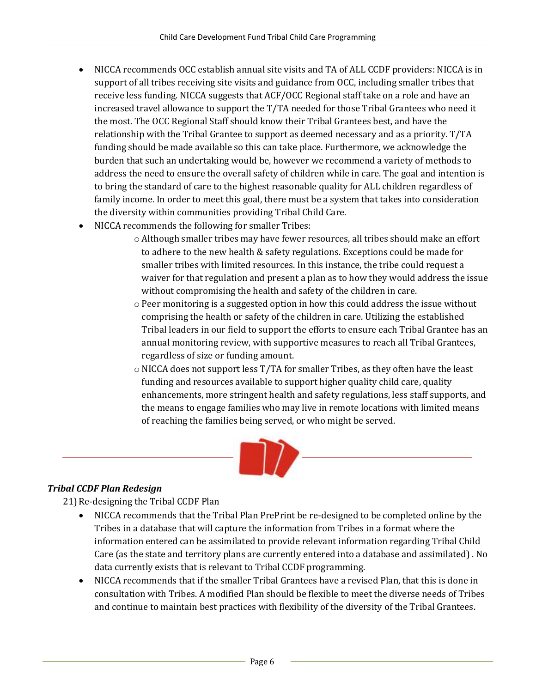- NICCA recommends OCC establish annual site visits and TA of ALL CCDF providers: NICCA is in support of all tribes receiving site visits and guidance from OCC, including smaller tribes that receive less funding. NICCA suggests that ACF/OCC Regional staff take on a role and have an increased travel allowance to support the T/TA needed for those Tribal Grantees who need it the most. The OCC Regional Staff should know their Tribal Grantees best, and have the relationship with the Tribal Grantee to support as deemed necessary and as a priority. T/TA funding should be made available so this can take place. Furthermore, we acknowledge the burden that such an undertaking would be, however we recommend a variety of methods to address the need to ensure the overall safety of children while in care. The goal and intention is to bring the standard of care to the highest reasonable quality for ALL children regardless of family income. In order to meet this goal, there must be a system that takes into consideration the diversity within communities providing Tribal Child Care.
- NICCA recommends the following for smaller Tribes:
	- o Although smaller tribes may have fewer resources, all tribes should make an effort to adhere to the new health & safety regulations. Exceptions could be made for smaller tribes with limited resources. In this instance, the tribe could request a waiver for that regulation and present a plan as to how they would address the issue without compromising the health and safety of the children in care.
	- $\circ$  Peer monitoring is a suggested option in how this could address the issue without comprising the health or safety of the children in care. Utilizing the established Tribal leaders in our field to support the efforts to ensure each Tribal Grantee has an annual monitoring review, with supportive measures to reach all Tribal Grantees, regardless of size or funding amount.
	- $\circ$  NICCA does not support less T/TA for smaller Tribes, as they often have the least funding and resources available to support higher quality child care, quality enhancements, more stringent health and safety regulations, less staff supports, and the means to engage families who may live in remote locations with limited means of reaching the families being served, or who might be served.



### *Tribal CCDF Plan Redesign*

21)Re-designing the Tribal CCDF Plan

- NICCA recommends that the Tribal Plan PrePrint be re-designed to be completed online by the Tribes in a database that will capture the information from Tribes in a format where the information entered can be assimilated to provide relevant information regarding Tribal Child Care (as the state and territory plans are currently entered into a database and assimilated) . No data currently exists that is relevant to Tribal CCDF programming.
- NICCA recommends that if the smaller Tribal Grantees have a revised Plan, that this is done in consultation with Tribes. A modified Plan should be flexible to meet the diverse needs of Tribes and continue to maintain best practices with flexibility of the diversity of the Tribal Grantees.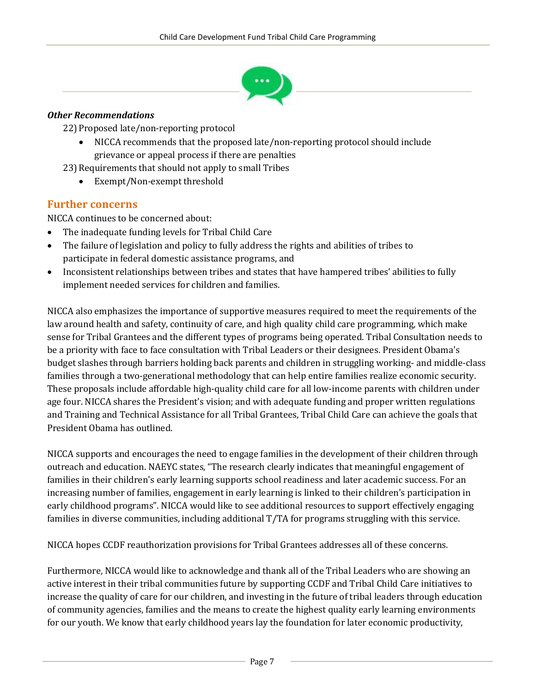

#### *Other Recommendations*

22)Proposed late/non-reporting protocol

- NICCA recommends that the proposed late/non-reporting protocol should include grievance or appeal process if there are penalties
- 23)Requirements that should not apply to small Tribes
	- Exempt/Non-exempt threshold

### **Further concerns**

NICCA continues to be concerned about:

- The inadequate funding levels for Tribal Child Care
- The failure of legislation and policy to fully address the rights and abilities of tribes to participate in federal domestic assistance programs, and
- Inconsistent relationships between tribes and states that have hampered tribes' abilities to fully implement needed services for children and families.

NICCA also emphasizes the importance of supportive measures required to meet the requirements of the law around health and safety, continuity of care, and high quality child care programming, which make sense for Tribal Grantees and the different types of programs being operated. Tribal Consultation needs to be a priority with face to face consultation with Tribal Leaders or their designees. President Obama's budget slashes through barriers holding back parents and children in struggling working- and middle-class families through a two-generational methodology that can help entire families realize economic security. These proposals include affordable high-quality child care for all low-income parents with children under age four. NICCA shares the President's vision; and with adequate funding and proper written regulations and Training and Technical Assistance for all Tribal Grantees, Tribal Child Care can achieve the goals that President Obama has outlined.

NICCA supports and encourages the need to engage families in the development of their children through outreach and education. NAEYC states, "The research clearly indicates that meaningful engagement of families in their children's early learning supports school readiness and later academic success. For an increasing number of families, engagement in early learning is linked to their children's participation in early childhood programs". NICCA would like to see additional resources to support effectively engaging families in diverse communities, including additional T/TA for programs struggling with this service.

NICCA hopes CCDF reauthorization provisions for Tribal Grantees addresses all of these concerns.

Furthermore, NICCA would like to acknowledge and thank all of the Tribal Leaders who are showing an active interest in their tribal communities future by supporting CCDF and Tribal Child Care initiatives to increase the quality of care for our children, and investing in the future of tribal leaders through education of community agencies, families and the means to create the highest quality early learning environments for our youth. We know that early childhood years lay the foundation for later economic productivity,